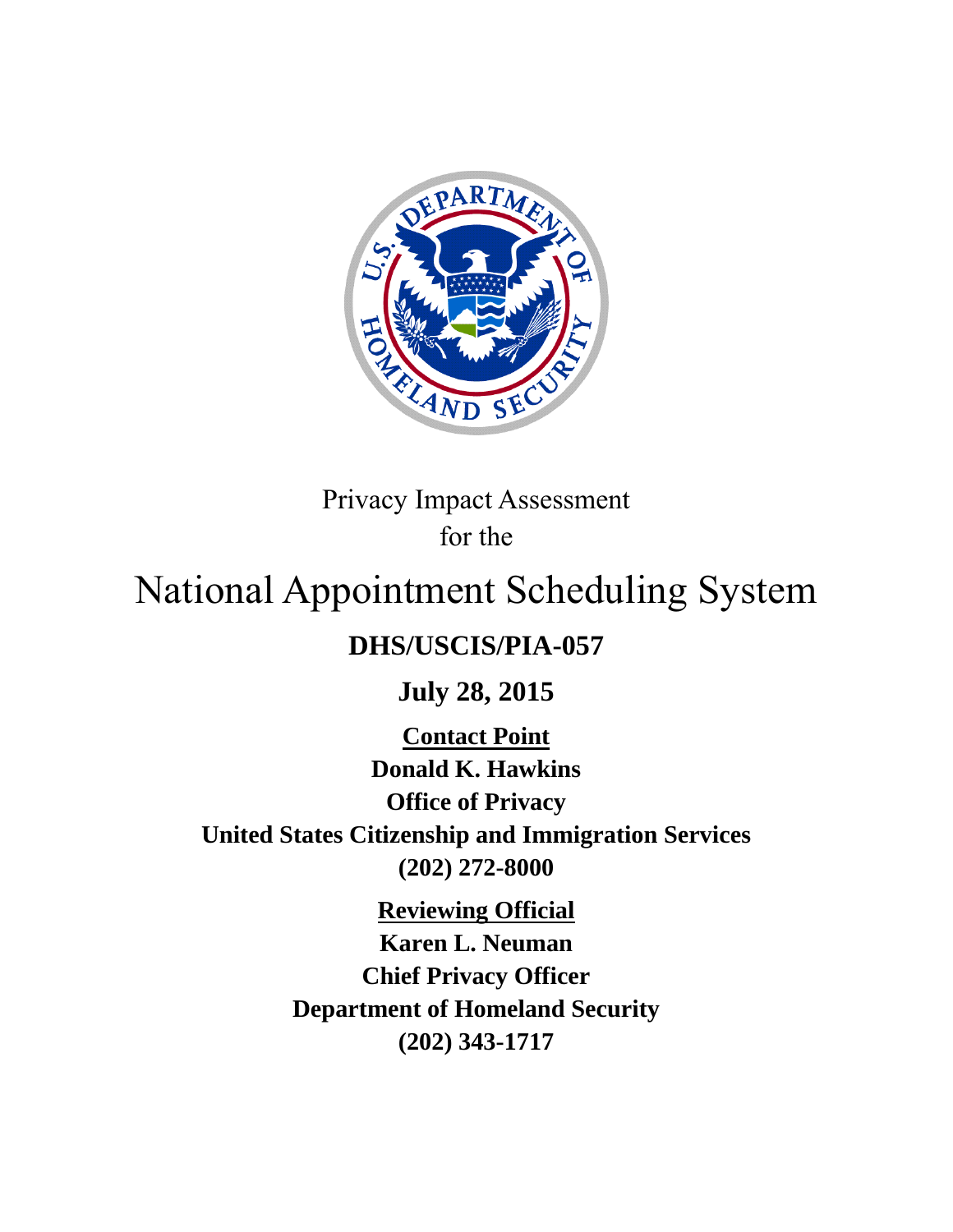

Privacy Impact Assessment for the

# National Appointment Scheduling System

# **DHS/USCIS/PIA-057**

**July 28, 2015**

**Contact Point Donald K. Hawkins Office of Privacy United States Citizenship and Immigration Services (202) 272-8000**

> **Reviewing Official Karen L. Neuman Chief Privacy Officer Department of Homeland Security (202) 343-1717**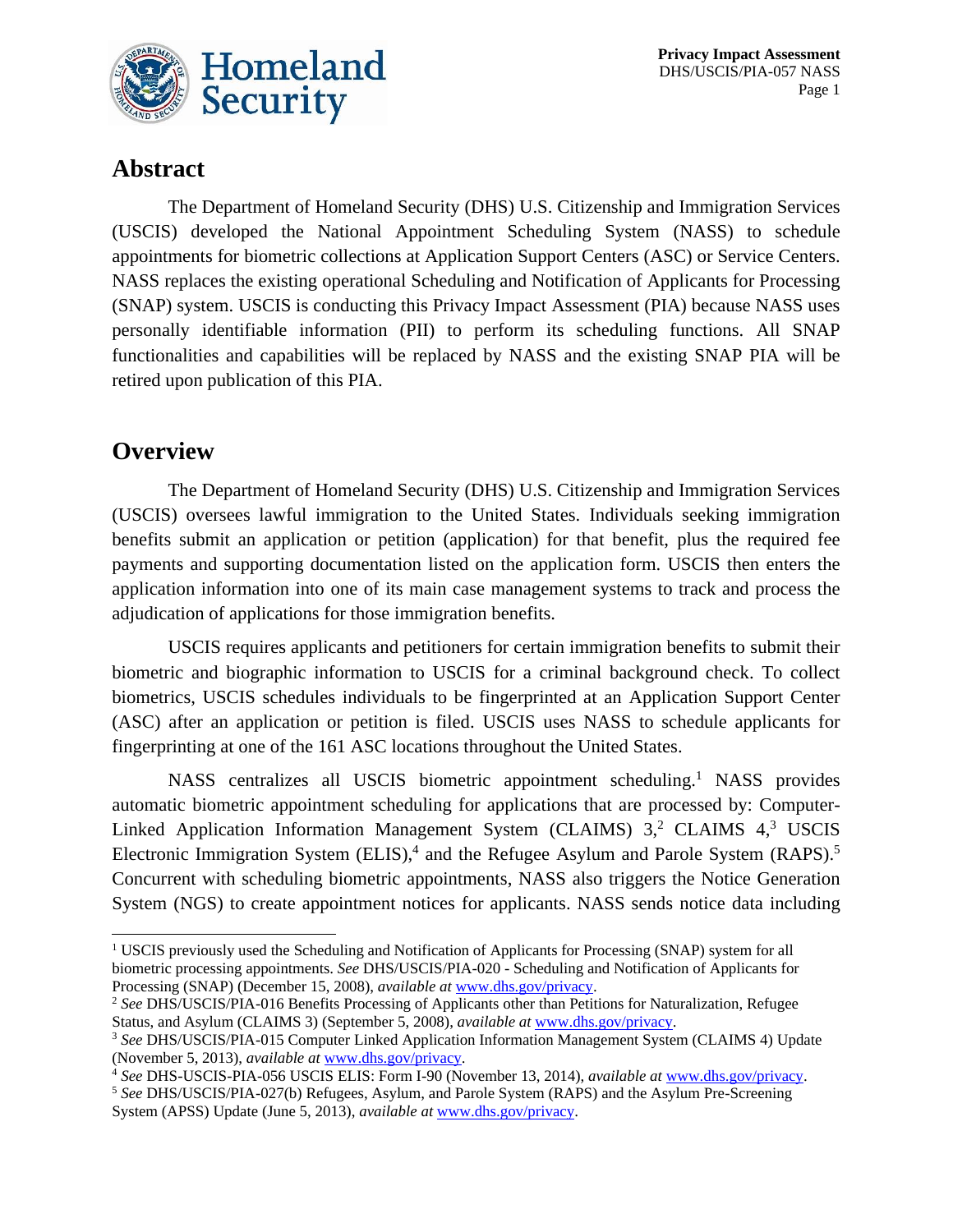

## **Abstract**

The Department of Homeland Security (DHS) U.S. Citizenship and Immigration Services (USCIS) developed the National Appointment Scheduling System (NASS) to schedule appointments for biometric collections at Application Support Centers (ASC) or Service Centers. NASS replaces the existing operational Scheduling and Notification of Applicants for Processing (SNAP) system. USCIS is conducting this Privacy Impact Assessment (PIA) because NASS uses personally identifiable information (PII) to perform its scheduling functions. All SNAP functionalities and capabilities will be replaced by NASS and the existing SNAP PIA will be retired upon publication of this PIA.

### **Overview**

The Department of Homeland Security (DHS) U.S. Citizenship and Immigration Services (USCIS) oversees lawful immigration to the United States. Individuals seeking immigration benefits submit an application or petition (application) for that benefit, plus the required fee payments and supporting documentation listed on the application form. USCIS then enters the application information into one of its main case management systems to track and process the adjudication of applications for those immigration benefits.

USCIS requires applicants and petitioners for certain immigration benefits to submit their biometric and biographic information to USCIS for a criminal background check. To collect biometrics, USCIS schedules individuals to be fingerprinted at an Application Support Center (ASC) after an application or petition is filed. USCIS uses NASS to schedule applicants for fingerprinting at one of the 161 ASC locations throughout the United States.

NASS centralizes all USCIS biometric appointment scheduling.<sup>1</sup> NASS provides automatic biometric appointment scheduling for applications that are processed by: Computer-Linked Application Information Management System (CLAIMS) 3,<sup>2</sup> CLAIMS 4,<sup>3</sup> USCIS Electronic Immigration System (ELIS),<sup>4</sup> and the Refugee Asylum and Parole System (RAPS).<sup>5</sup> Concurrent with scheduling biometric appointments, NASS also triggers the Notice Generation System (NGS) to create appointment notices for applicants. NASS sends notice data including

<sup>&</sup>lt;sup>1</sup> USCIS previously used the Scheduling and Notification of Applicants for Processing (SNAP) system for all biometric processing appointments. *See* DHS/USCIS/PIA-020 - Scheduling and Notification of Applicants for Processing (SNAP) (December 15, 2008), *available at* [www.dhs.gov/privacy.](file:///C:/Users/jlhoots/AppData/Local/Microsoft/Windows/Temporary%20Internet%20Files/Content.Outlook/K6W6VXPO/www.dhs.gov/privacy)

<sup>2</sup> *See* DHS/USCIS/PIA-016 Benefits Processing of Applicants other than Petitions for Naturalization, Refugee Status, and Asylum (CLAIMS 3) (September 5, 2008), *available at* [www.dhs.gov/privacy.](file:///C:/Users/jlhoots/AppData/Local/Microsoft/Windows/Temporary%20Internet%20Files/Content.Outlook/K6W6VXPO/www.dhs.gov/privacy)

<sup>3</sup> *See* DHS/USCIS/PIA-015 Computer Linked Application Information Management System (CLAIMS 4) Update (November 5, 2013), *available at* [www.dhs.gov/privacy.](file:///C:/Users/jlhoots/AppData/Local/Microsoft/Windows/Temporary%20Internet%20Files/Content.Outlook/K6W6VXPO/www.dhs.gov/privacy)

<sup>4</sup> *See* DHS-USCIS-PIA-056 USCIS ELIS: Form I-90 (November 13, 2014), *available at* [www.dhs.gov/privacy.](file:///C:/Users/jlhoots/AppData/Local/Microsoft/Windows/Temporary%20Internet%20Files/Content.Outlook/K6W6VXPO/www.dhs.gov/privacy)

<sup>5</sup> *See* DHS/USCIS/PIA-027(b) Refugees, Asylum, and Parole System (RAPS) and the Asylum Pre-Screening System (APSS) Update (June 5, 2013), *available at* [www.dhs.gov/privacy.](http://www.dhs.gov/privacy)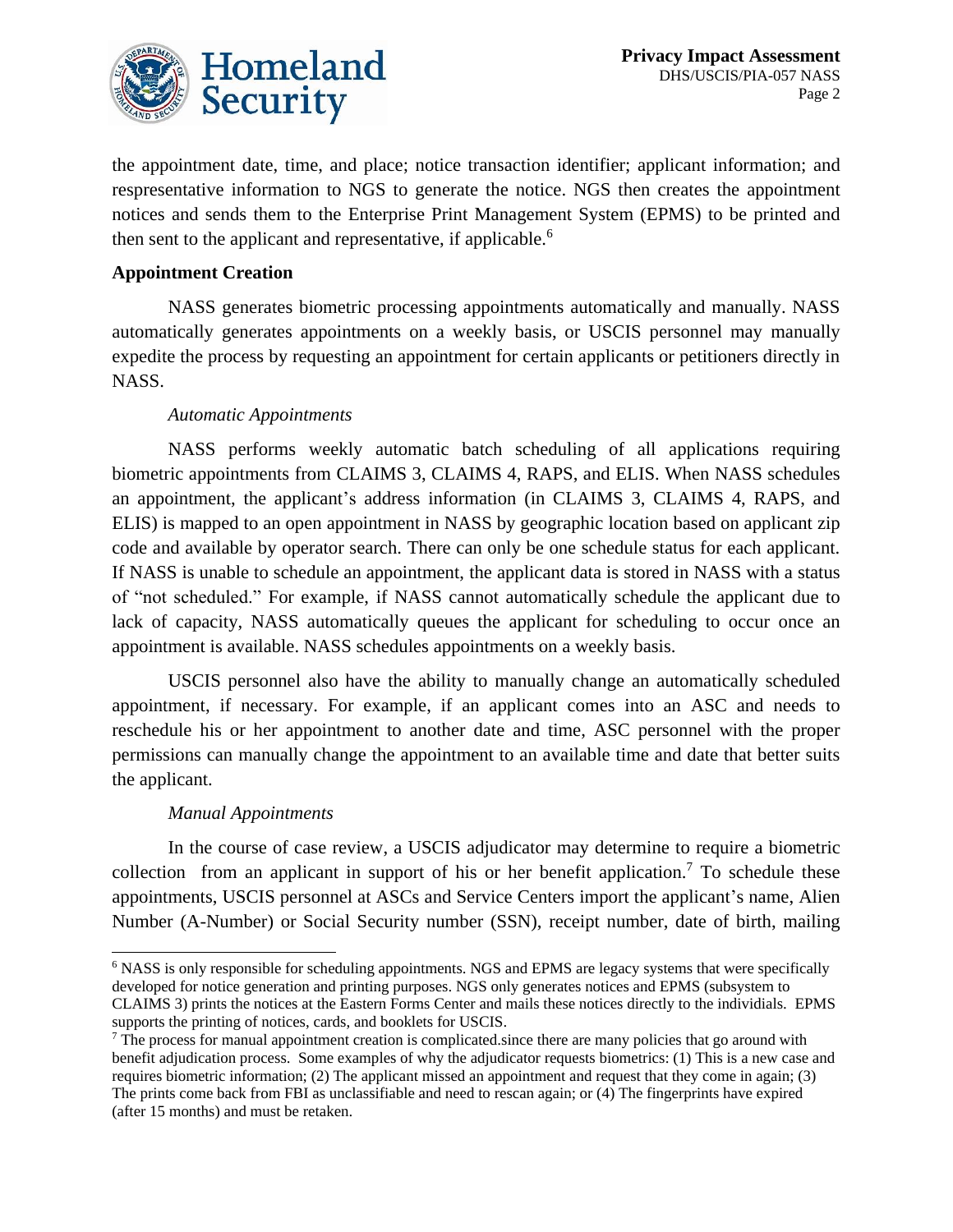

the appointment date, time, and place; notice transaction identifier; applicant information; and respresentative information to NGS to generate the notice. NGS then creates the appointment notices and sends them to the Enterprise Print Management System (EPMS) to be printed and then sent to the applicant and representative, if applicable.<sup>6</sup>

#### **Appointment Creation**

NASS generates biometric processing appointments automatically and manually. NASS automatically generates appointments on a weekly basis, or USCIS personnel may manually expedite the process by requesting an appointment for certain applicants or petitioners directly in NASS.

#### *Automatic Appointments*

NASS performs weekly automatic batch scheduling of all applications requiring biometric appointments from CLAIMS 3, CLAIMS 4, RAPS, and ELIS. When NASS schedules an appointment, the applicant's address information (in CLAIMS 3, CLAIMS 4, RAPS, and ELIS) is mapped to an open appointment in NASS by geographic location based on applicant zip code and available by operator search. There can only be one schedule status for each applicant. If NASS is unable to schedule an appointment, the applicant data is stored in NASS with a status of "not scheduled." For example, if NASS cannot automatically schedule the applicant due to lack of capacity, NASS automatically queues the applicant for scheduling to occur once an appointment is available. NASS schedules appointments on a weekly basis.

USCIS personnel also have the ability to manually change an automatically scheduled appointment, if necessary. For example, if an applicant comes into an ASC and needs to reschedule his or her appointment to another date and time, ASC personnel with the proper permissions can manually change the appointment to an available time and date that better suits the applicant.

#### *Manual Appointments*

In the course of case review, a USCIS adjudicator may determine to require a biometric collection from an applicant in support of his or her benefit application.<sup>7</sup> To schedule these appointments, USCIS personnel at ASCs and Service Centers import the applicant's name, Alien Number (A-Number) or Social Security number (SSN), receipt number, date of birth, mailing

<sup>6</sup> NASS is only responsible for scheduling appointments. NGS and EPMS are legacy systems that were specifically developed for notice generation and printing purposes. NGS only generates notices and EPMS (subsystem to CLAIMS 3) prints the notices at the Eastern Forms Center and mails these notices directly to the individials. EPMS supports the printing of notices, cards, and booklets for USCIS.

<sup>&</sup>lt;sup>7</sup> The process for manual appointment creation is complicated.since there are many policies that go around with benefit adjudication process. Some examples of why the adjudicator requests biometrics: (1) This is a new case and requires biometric information; (2) The applicant missed an appointment and request that they come in again; (3) The prints come back from FBI as unclassifiable and need to rescan again; or (4) The fingerprints have expired (after 15 months) and must be retaken.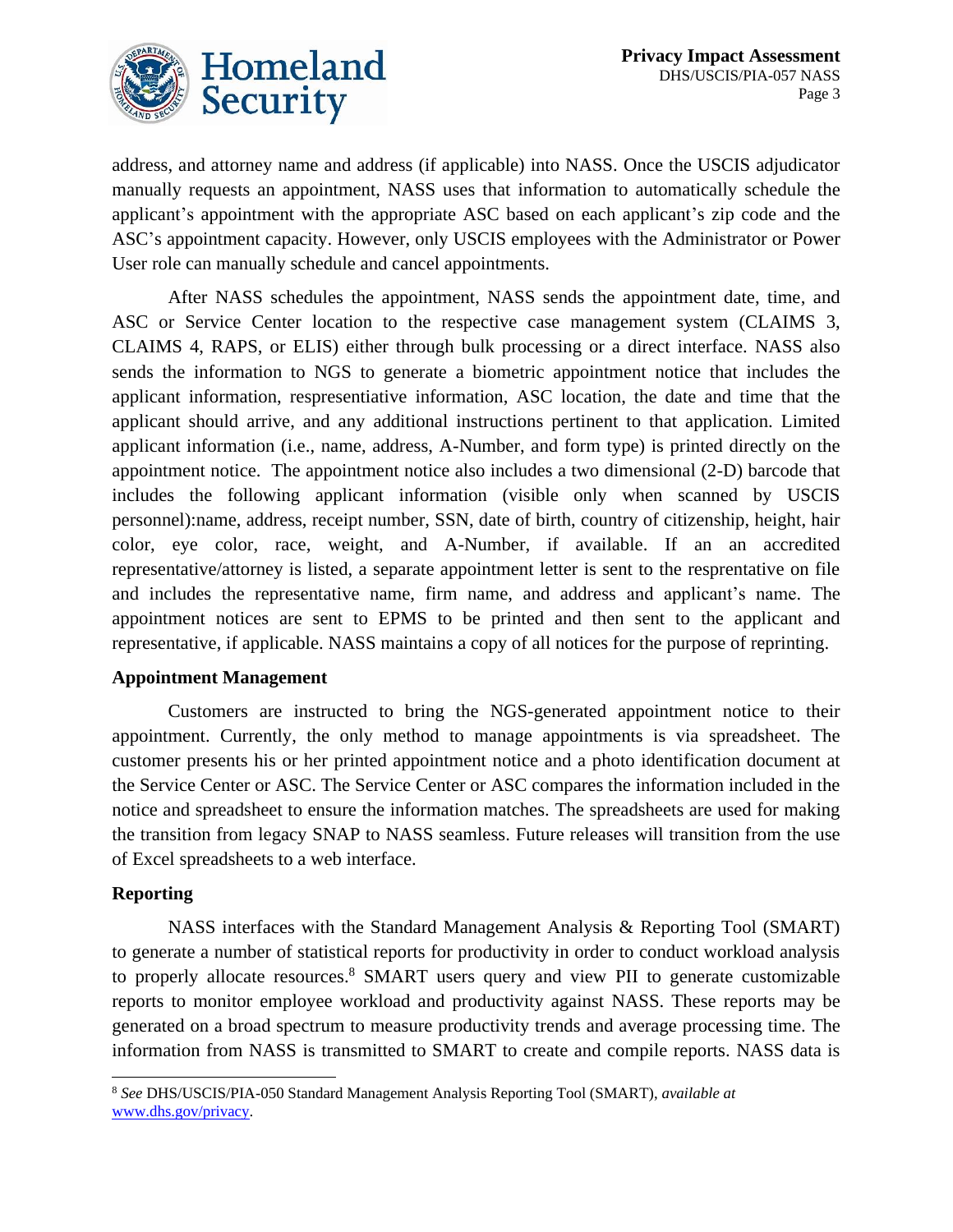

address, and attorney name and address (if applicable) into NASS. Once the USCIS adjudicator manually requests an appointment, NASS uses that information to automatically schedule the applicant's appointment with the appropriate ASC based on each applicant's zip code and the ASC's appointment capacity. However, only USCIS employees with the Administrator or Power User role can manually schedule and cancel appointments.

After NASS schedules the appointment, NASS sends the appointment date, time, and ASC or Service Center location to the respective case management system (CLAIMS 3, CLAIMS 4, RAPS, or ELIS) either through bulk processing or a direct interface. NASS also sends the information to NGS to generate a biometric appointment notice that includes the applicant information, respresentiative information, ASC location, the date and time that the applicant should arrive, and any additional instructions pertinent to that application. Limited applicant information (i.e., name, address, A-Number, and form type) is printed directly on the appointment notice. The appointment notice also includes a two dimensional (2-D) barcode that includes the following applicant information (visible only when scanned by USCIS personnel):name, address, receipt number, SSN, date of birth, country of citizenship, height, hair color, eye color, race, weight, and A-Number, if available. If an an accredited representative/attorney is listed, a separate appointment letter is sent to the resprentative on file and includes the representative name, firm name, and address and applicant's name. The appointment notices are sent to EPMS to be printed and then sent to the applicant and representative, if applicable. NASS maintains a copy of all notices for the purpose of reprinting.

#### **Appointment Management**

Customers are instructed to bring the NGS-generated appointment notice to their appointment. Currently, the only method to manage appointments is via spreadsheet. The customer presents his or her printed appointment notice and a photo identification document at the Service Center or ASC. The Service Center or ASC compares the information included in the notice and spreadsheet to ensure the information matches. The spreadsheets are used for making the transition from legacy SNAP to NASS seamless. Future releases will transition from the use of Excel spreadsheets to a web interface.

#### **Reporting**

NASS interfaces with the Standard Management Analysis & Reporting Tool (SMART) to generate a number of statistical reports for productivity in order to conduct workload analysis to properly allocate resources. <sup>8</sup> SMART users query and view PII to generate customizable reports to monitor employee workload and productivity against NASS. These reports may be generated on a broad spectrum to measure productivity trends and average processing time. The information from NASS is transmitted to SMART to create and compile reports. NASS data is

<sup>8</sup> *See* DHS/USCIS/PIA-050 Standard Management Analysis Reporting Tool (SMART), *available at*  [www.dhs.gov/privacy.](http://www.dhs.gov/privacy)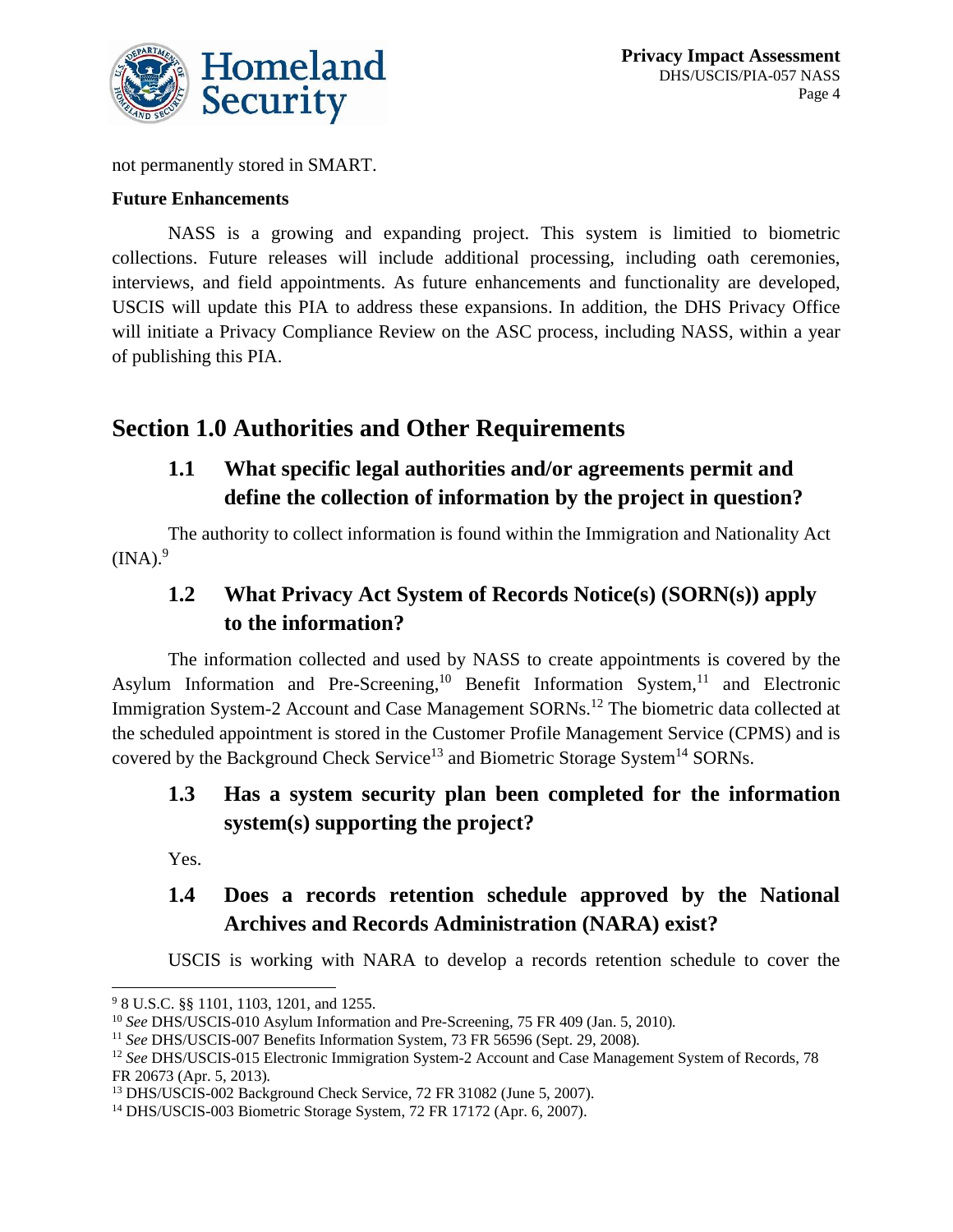

not permanently stored in SMART.

#### **Future Enhancements**

NASS is a growing and expanding project. This system is limitied to biometric collections. Future releases will include additional processing, including oath ceremonies, interviews, and field appointments. As future enhancements and functionality are developed, USCIS will update this PIA to address these expansions. In addition, the DHS Privacy Office will initiate a Privacy Compliance Review on the ASC process, including NASS, within a year of publishing this PIA.

# **Section 1.0 Authorities and Other Requirements**

### **1.1 What specific legal authorities and/or agreements permit and define the collection of information by the project in question?**

The authority to collect information is found within the Immigration and Nationality Act  $(INA).<sup>9</sup>$ 

### **1.2 What Privacy Act System of Records Notice(s) (SORN(s)) apply to the information?**

The information collected and used by NASS to create appointments is covered by the Asylum Information and Pre-Screening,<sup>10</sup> Benefit Information System,<sup>11</sup> and Electronic Immigration System-2 Account and Case Management SORNs.<sup>12</sup> The biometric data collected at the scheduled appointment is stored in the Customer Profile Management Service (CPMS) and is covered by the Background Check Service<sup>13</sup> and Biometric Storage System<sup>14</sup> SORNs.

### **1.3 Has a system security plan been completed for the information system(s) supporting the project?**

Yes.

### **1.4 Does a records retention schedule approved by the National Archives and Records Administration (NARA) exist?**

USCIS is working with NARA to develop a records retention schedule to cover the

<sup>9</sup> 8 U.S.C. §§ 1101, 1103, 1201, and 1255.

<sup>10</sup> *See* DHS/USCIS-010 Asylum Information and Pre-Screening, 75 FR 409 (Jan. 5, 2010)*.* 

<sup>11</sup> *See* DHS/USCIS-007 Benefits Information System, 73 FR 56596 (Sept. 29, 2008)*.* 

<sup>&</sup>lt;sup>12</sup> See DHS/USCIS-015 Electronic Immigration System-2 Account and Case Management System of Records, 78 FR 20673 (Apr. 5, 2013)*.* 

<sup>&</sup>lt;sup>13</sup> DHS/USCIS-002 Background Check Service, 72 FR 31082 (June 5, 2007).

<sup>14</sup> DHS/USCIS-003 Biometric Storage System, 72 FR 17172 (Apr. 6, 2007).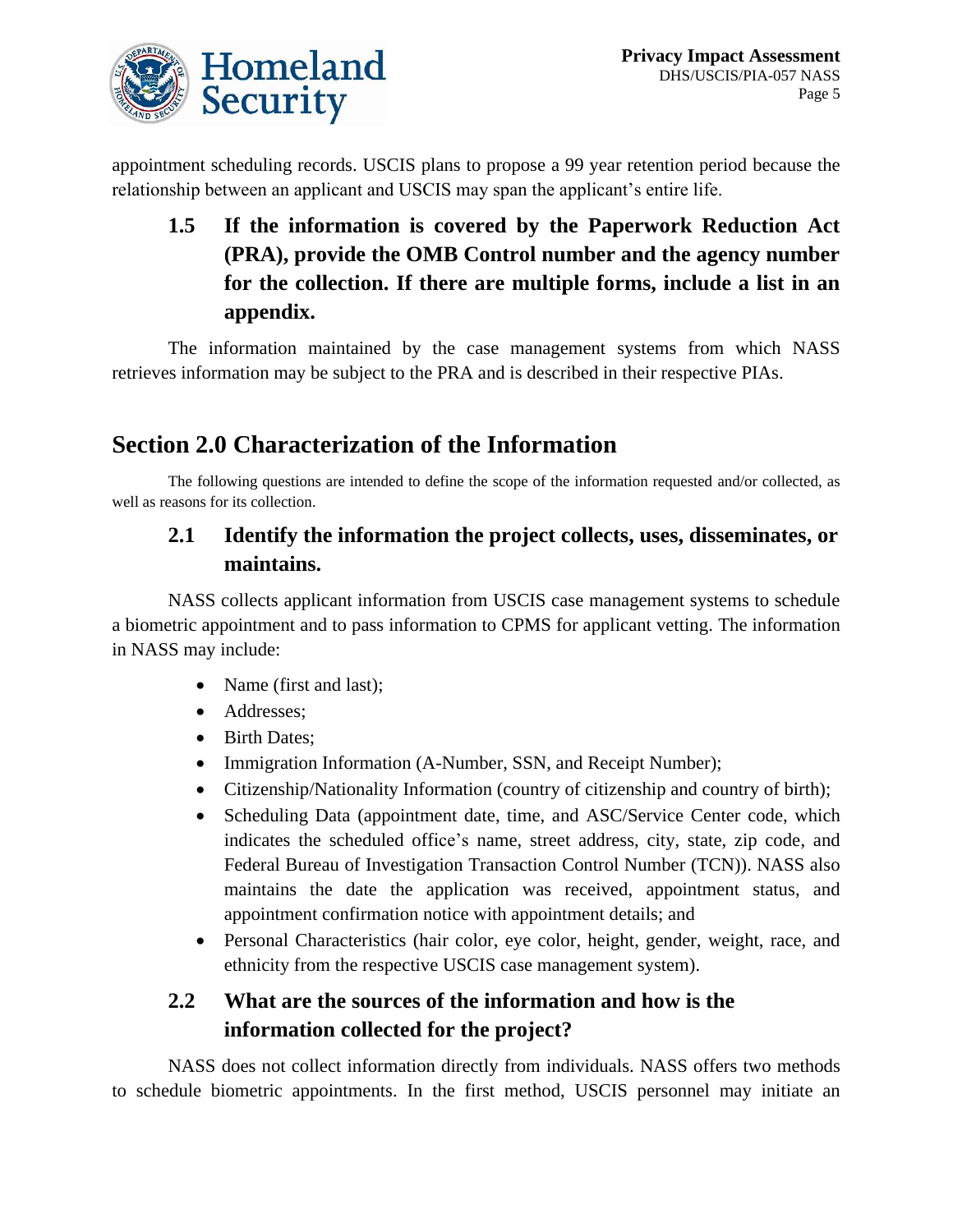

appointment scheduling records. USCIS plans to propose a 99 year retention period because the relationship between an applicant and USCIS may span the applicant's entire life.

**1.5 If the information is covered by the Paperwork Reduction Act (PRA), provide the OMB Control number and the agency number for the collection. If there are multiple forms, include a list in an appendix.** 

The information maintained by the case management systems from which NASS retrieves information may be subject to the PRA and is described in their respective PIAs.

# **Section 2.0 Characterization of the Information**

The following questions are intended to define the scope of the information requested and/or collected, as well as reasons for its collection.

### **2.1 Identify the information the project collects, uses, disseminates, or maintains.**

NASS collects applicant information from USCIS case management systems to schedule a biometric appointment and to pass information to CPMS for applicant vetting. The information in NASS may include:

- Name (first and last);
- Addresses;
- Birth Dates:
- Immigration Information (A-Number, SSN, and Receipt Number);
- Citizenship/Nationality Information (country of citizenship and country of birth);
- Scheduling Data (appointment date, time, and ASC/Service Center code, which indicates the scheduled office's name, street address, city, state, zip code, and Federal Bureau of Investigation Transaction Control Number (TCN)). NASS also maintains the date the application was received, appointment status, and appointment confirmation notice with appointment details; and
- Personal Characteristics (hair color, eye color, height, gender, weight, race, and ethnicity from the respective USCIS case management system).

### **2.2 What are the sources of the information and how is the information collected for the project?**

NASS does not collect information directly from individuals. NASS offers two methods to schedule biometric appointments. In the first method, USCIS personnel may initiate an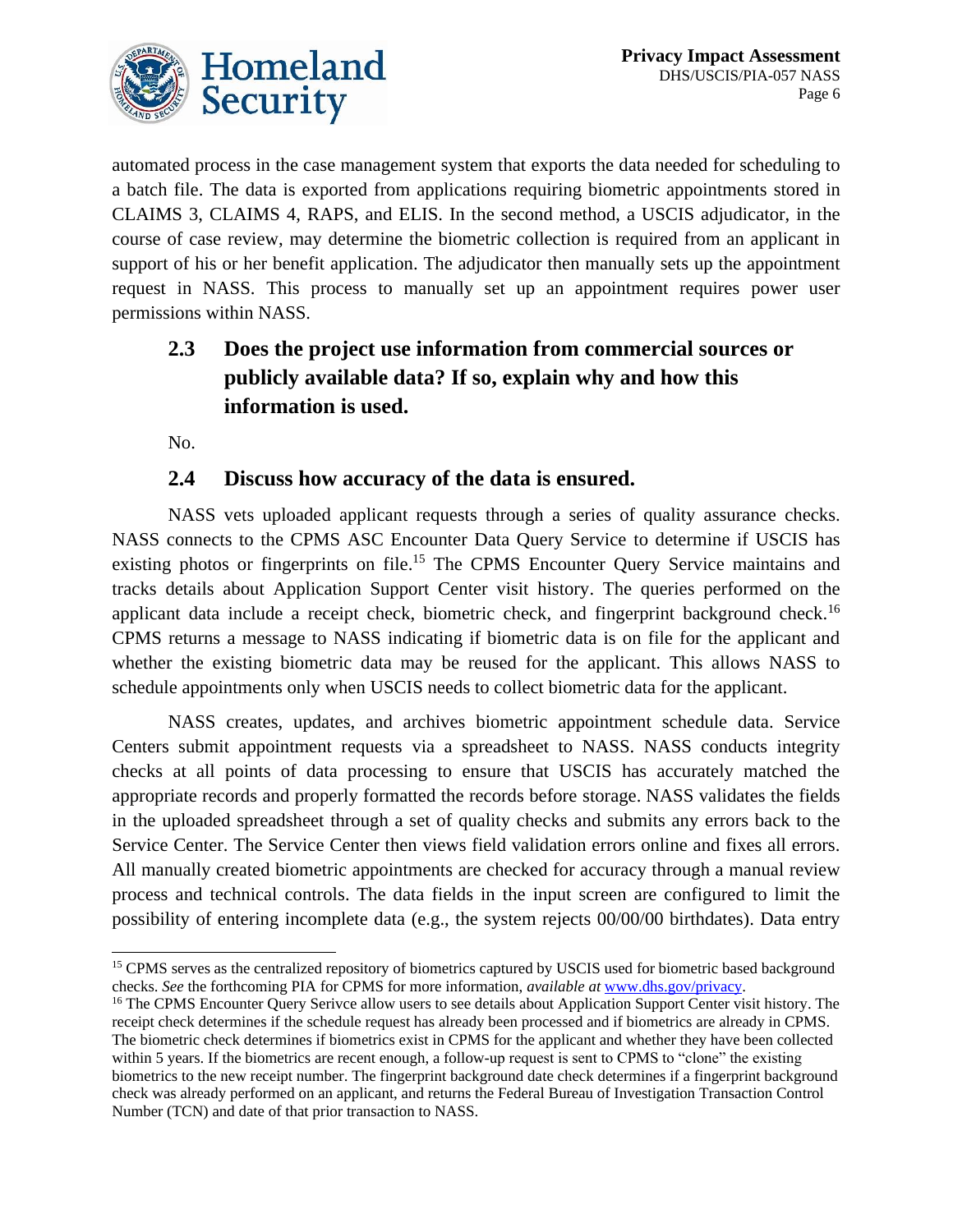

automated process in the case management system that exports the data needed for scheduling to a batch file. The data is exported from applications requiring biometric appointments stored in CLAIMS 3, CLAIMS 4, RAPS, and ELIS. In the second method, a USCIS adjudicator, in the course of case review, may determine the biometric collection is required from an applicant in support of his or her benefit application. The adjudicator then manually sets up the appointment request in NASS. This process to manually set up an appointment requires power user permissions within NASS.

# **2.3 Does the project use information from commercial sources or publicly available data? If so, explain why and how this information is used.**

No.

### **2.4 Discuss how accuracy of the data is ensured.**

NASS vets uploaded applicant requests through a series of quality assurance checks. NASS connects to the CPMS ASC Encounter Data Query Service to determine if USCIS has existing photos or fingerprints on file.<sup>15</sup> The CPMS Encounter Query Service maintains and tracks details about Application Support Center visit history. The queries performed on the applicant data include a receipt check, biometric check, and fingerprint background check.<sup>16</sup> CPMS returns a message to NASS indicating if biometric data is on file for the applicant and whether the existing biometric data may be reused for the applicant. This allows NASS to schedule appointments only when USCIS needs to collect biometric data for the applicant.

NASS creates, updates, and archives biometric appointment schedule data. Service Centers submit appointment requests via a spreadsheet to NASS. NASS conducts integrity checks at all points of data processing to ensure that USCIS has accurately matched the appropriate records and properly formatted the records before storage. NASS validates the fields in the uploaded spreadsheet through a set of quality checks and submits any errors back to the Service Center. The Service Center then views field validation errors online and fixes all errors. All manually created biometric appointments are checked for accuracy through a manual review process and technical controls. The data fields in the input screen are configured to limit the possibility of entering incomplete data (e.g., the system rejects 00/00/00 birthdates). Data entry

<sup>&</sup>lt;sup>15</sup> CPMS serves as the centralized repository of biometrics captured by USCIS used for biometric based background checks. *See* the forthcoming PIA for CPMS for more information, *available at* [www.dhs.gov/privacy.](http://www.dhs.gov/privacy)

<sup>&</sup>lt;sup>16</sup> The CPMS Encounter Query Serivce allow users to see details about Application Support Center visit history. The receipt check determines if the schedule request has already been processed and if biometrics are already in CPMS. The biometric check determines if biometrics exist in CPMS for the applicant and whether they have been collected within 5 years. If the biometrics are recent enough, a follow-up request is sent to CPMS to "clone" the existing biometrics to the new receipt number. The fingerprint background date check determines if a fingerprint background check was already performed on an applicant, and returns the Federal Bureau of Investigation Transaction Control Number (TCN) and date of that prior transaction to NASS.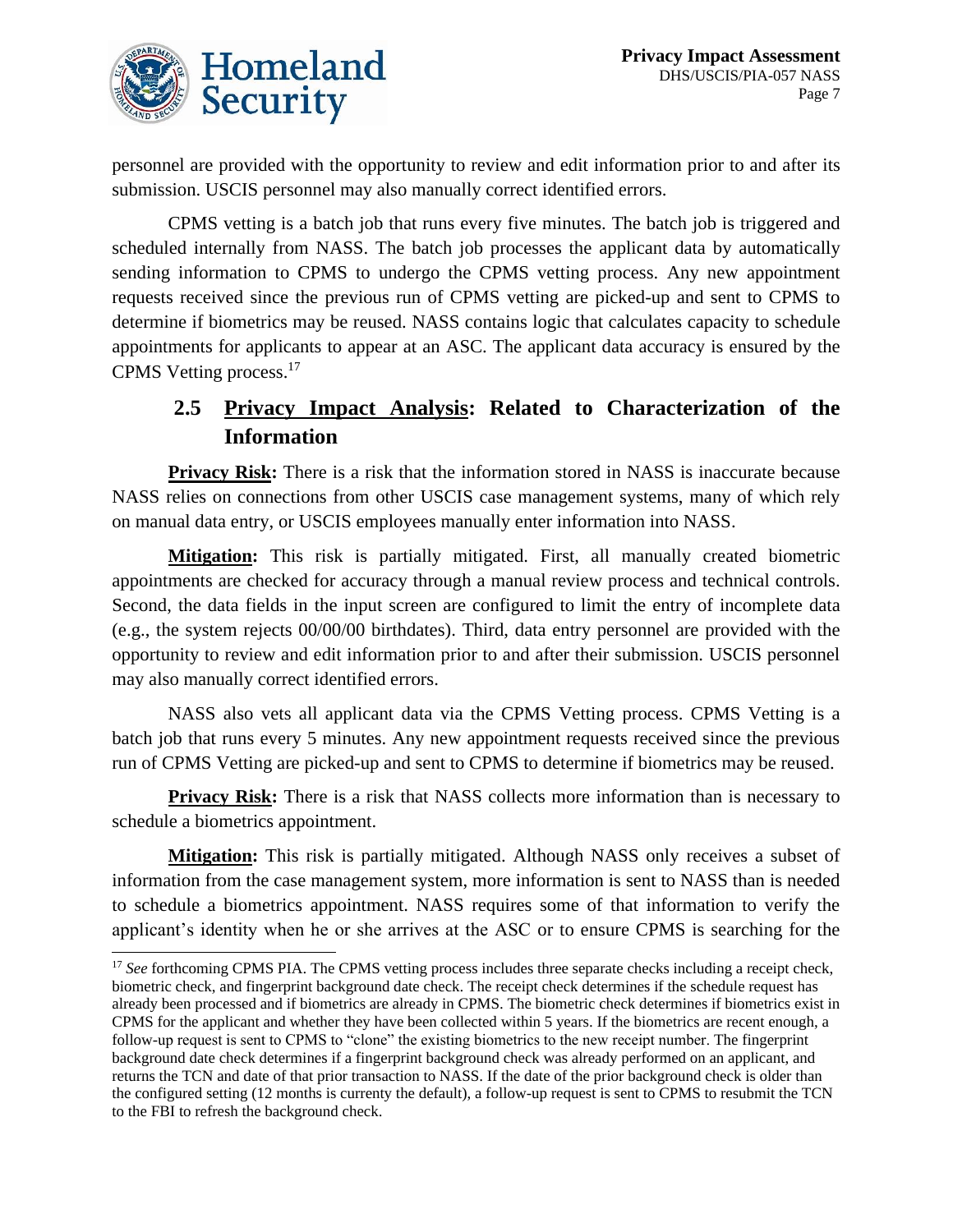

personnel are provided with the opportunity to review and edit information prior to and after its submission. USCIS personnel may also manually correct identified errors.

CPMS vetting is a batch job that runs every five minutes. The batch job is triggered and scheduled internally from NASS. The batch job processes the applicant data by automatically sending information to CPMS to undergo the CPMS vetting process. Any new appointment requests received since the previous run of CPMS vetting are picked-up and sent to CPMS to determine if biometrics may be reused. NASS contains logic that calculates capacity to schedule appointments for applicants to appear at an ASC. The applicant data accuracy is ensured by the CPMS Vetting process.<sup>17</sup>

### **2.5 Privacy Impact Analysis: Related to Characterization of the Information**

**Privacy Risk:** There is a risk that the information stored in NASS is inaccurate because NASS relies on connections from other USCIS case management systems, many of which rely on manual data entry, or USCIS employees manually enter information into NASS.

**Mitigation:** This risk is partially mitigated. First, all manually created biometric appointments are checked for accuracy through a manual review process and technical controls. Second, the data fields in the input screen are configured to limit the entry of incomplete data (e.g., the system rejects 00/00/00 birthdates). Third, data entry personnel are provided with the opportunity to review and edit information prior to and after their submission. USCIS personnel may also manually correct identified errors.

NASS also vets all applicant data via the CPMS Vetting process. CPMS Vetting is a batch job that runs every 5 minutes. Any new appointment requests received since the previous run of CPMS Vetting are picked-up and sent to CPMS to determine if biometrics may be reused.

**Privacy Risk:** There is a risk that NASS collects more information than is necessary to schedule a biometrics appointment.

**Mitigation:** This risk is partially mitigated. Although NASS only receives a subset of information from the case management system, more information is sent to NASS than is needed to schedule a biometrics appointment. NASS requires some of that information to verify the applicant's identity when he or she arrives at the ASC or to ensure CPMS is searching for the

<sup>&</sup>lt;sup>17</sup> See forthcoming CPMS PIA. The CPMS vetting process includes three separate checks including a receipt check, biometric check, and fingerprint background date check. The receipt check determines if the schedule request has already been processed and if biometrics are already in CPMS. The biometric check determines if biometrics exist in CPMS for the applicant and whether they have been collected within 5 years. If the biometrics are recent enough, a follow-up request is sent to CPMS to "clone" the existing biometrics to the new receipt number. The fingerprint background date check determines if a fingerprint background check was already performed on an applicant, and returns the TCN and date of that prior transaction to NASS. If the date of the prior background check is older than the configured setting (12 months is currenty the default), a follow-up request is sent to CPMS to resubmit the TCN to the FBI to refresh the background check.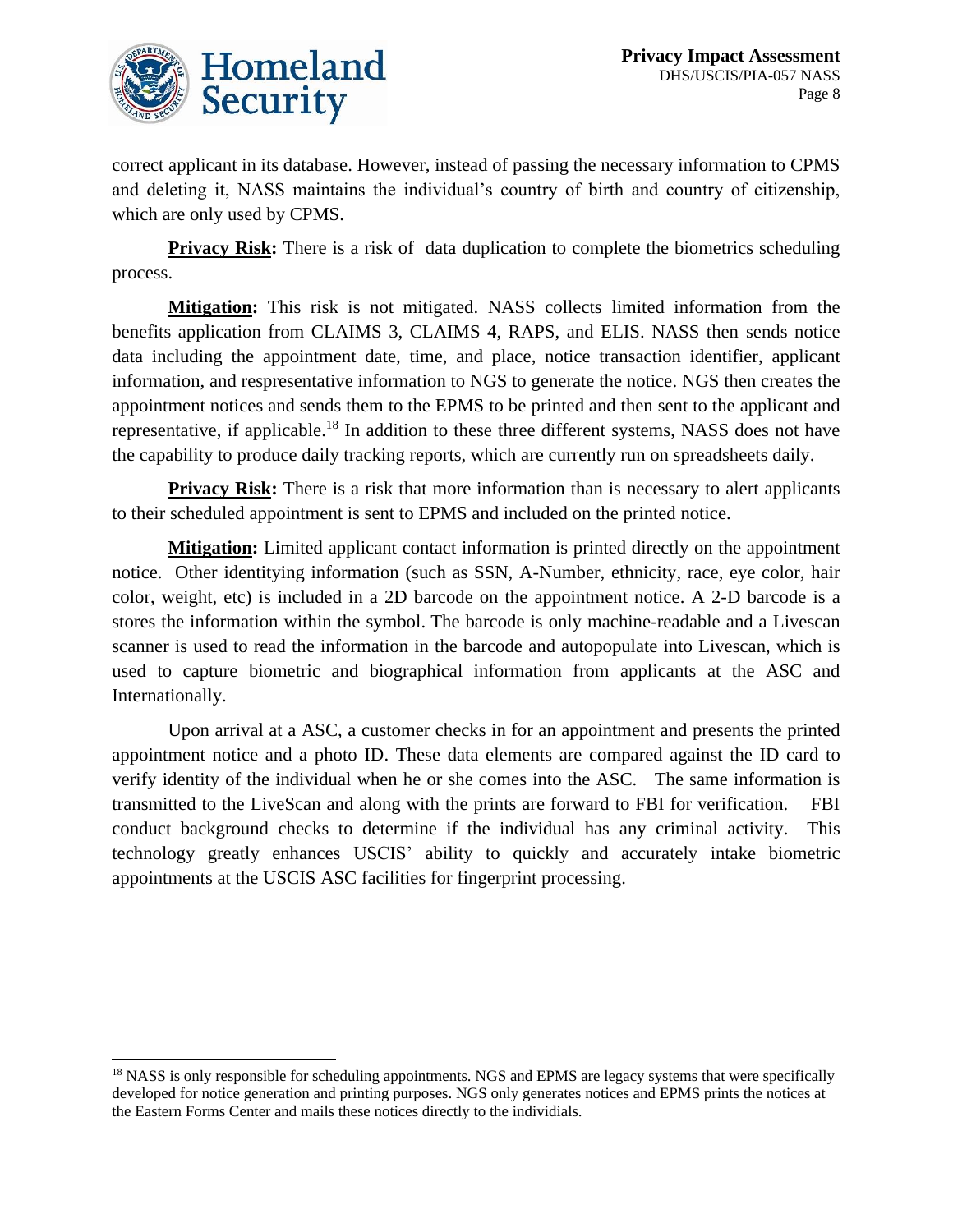

correct applicant in its database. However, instead of passing the necessary information to CPMS and deleting it, NASS maintains the individual's country of birth and country of citizenship, which are only used by CPMS.

**Privacy Risk:** There is a risk of data duplication to complete the biometrics scheduling process.

**Mitigation:** This risk is not mitigated. NASS collects limited information from the benefits application from CLAIMS 3, CLAIMS 4, RAPS, and ELIS. NASS then sends notice data including the appointment date, time, and place, notice transaction identifier, applicant information, and respresentative information to NGS to generate the notice. NGS then creates the appointment notices and sends them to the EPMS to be printed and then sent to the applicant and representative, if applicable.<sup>18</sup> In addition to these three different systems, NASS does not have the capability to produce daily tracking reports, which are currently run on spreadsheets daily.

**Privacy Risk:** There is a risk that more information than is necessary to alert applicants to their scheduled appointment is sent to EPMS and included on the printed notice.

**Mitigation:** Limited applicant contact information is printed directly on the appointment notice. Other identitying information (such as SSN, A-Number, ethnicity, race, eye color, hair color, weight, etc) is included in a 2D barcode on the appointment notice. A 2-D barcode is a stores the information within the symbol. The barcode is only machine-readable and a Livescan scanner is used to read the information in the barcode and autopopulate into Livescan, which is used to capture biometric and biographical information from applicants at the ASC and Internationally.

Upon arrival at a ASC, a customer checks in for an appointment and presents the printed appointment notice and a photo ID. These data elements are compared against the ID card to verify identity of the individual when he or she comes into the ASC. The same information is transmitted to the LiveScan and along with the prints are forward to FBI for verification. FBI conduct background checks to determine if the individual has any criminal activity. This technology greatly enhances USCIS' ability to quickly and accurately intake biometric appointments at the USCIS ASC facilities for fingerprint processing.

<sup>&</sup>lt;sup>18</sup> NASS is only responsible for scheduling appointments. NGS and EPMS are legacy systems that were specifically developed for notice generation and printing purposes. NGS only generates notices and EPMS prints the notices at the Eastern Forms Center and mails these notices directly to the individials.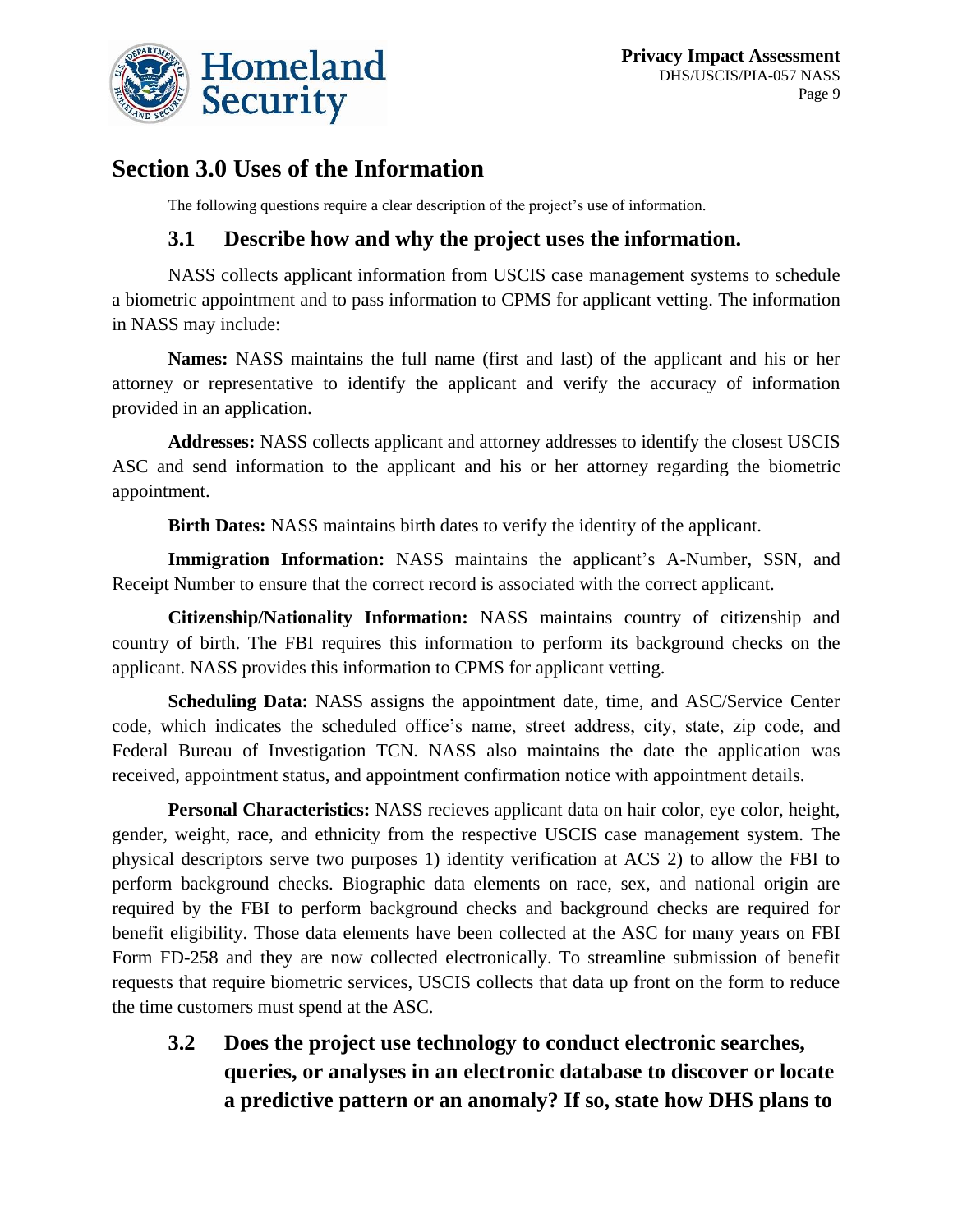

# **Section 3.0 Uses of the Information**

The following questions require a clear description of the project's use of information.

### **3.1 Describe how and why the project uses the information.**

NASS collects applicant information from USCIS case management systems to schedule a biometric appointment and to pass information to CPMS for applicant vetting. The information in NASS may include:

**Names:** NASS maintains the full name (first and last) of the applicant and his or her attorney or representative to identify the applicant and verify the accuracy of information provided in an application.

**Addresses:** NASS collects applicant and attorney addresses to identify the closest USCIS ASC and send information to the applicant and his or her attorney regarding the biometric appointment.

**Birth Dates:** NASS maintains birth dates to verify the identity of the applicant.

**Immigration Information:** NASS maintains the applicant's A-Number, SSN, and Receipt Number to ensure that the correct record is associated with the correct applicant.

**Citizenship/Nationality Information:** NASS maintains country of citizenship and country of birth. The FBI requires this information to perform its background checks on the applicant. NASS provides this information to CPMS for applicant vetting.

**Scheduling Data:** NASS assigns the appointment date, time, and ASC/Service Center code, which indicates the scheduled office's name, street address, city, state, zip code, and Federal Bureau of Investigation TCN. NASS also maintains the date the application was received, appointment status, and appointment confirmation notice with appointment details.

**Personal Characteristics:** NASS recieves applicant data on hair color, eye color, height, gender, weight, race, and ethnicity from the respective USCIS case management system. The physical descriptors serve two purposes 1) identity verification at ACS 2) to allow the FBI to perform background checks. Biographic data elements on race, sex, and national origin are required by the FBI to perform background checks and background checks are required for benefit eligibility. Those data elements have been collected at the ASC for many years on FBI Form FD-258 and they are now collected electronically. To streamline submission of benefit requests that require biometric services, USCIS collects that data up front on the form to reduce the time customers must spend at the ASC.

**3.2 Does the project use technology to conduct electronic searches, queries, or analyses in an electronic database to discover or locate a predictive pattern or an anomaly? If so, state how DHS plans to**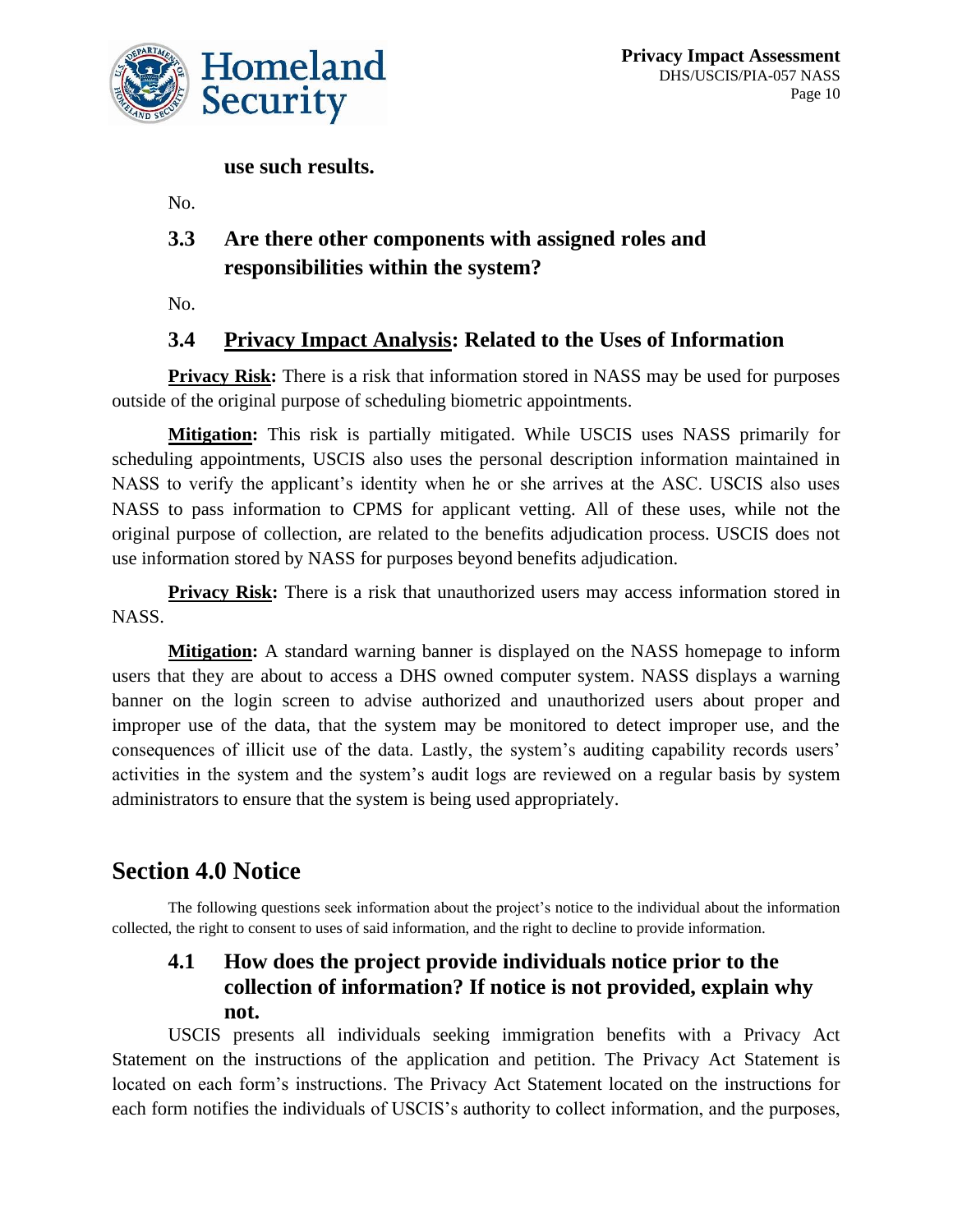

**use such results.**

No.

# **3.3 Are there other components with assigned roles and responsibilities within the system?**

No.

### **3.4 Privacy Impact Analysis: Related to the Uses of Information**

**Privacy Risk:** There is a risk that information stored in NASS may be used for purposes outside of the original purpose of scheduling biometric appointments.

**Mitigation:** This risk is partially mitigated. While USCIS uses NASS primarily for scheduling appointments, USCIS also uses the personal description information maintained in NASS to verify the applicant's identity when he or she arrives at the ASC. USCIS also uses NASS to pass information to CPMS for applicant vetting. All of these uses, while not the original purpose of collection, are related to the benefits adjudication process. USCIS does not use information stored by NASS for purposes beyond benefits adjudication.

**Privacy Risk:** There is a risk that unauthorized users may access information stored in NASS.

**Mitigation:** A standard warning banner is displayed on the NASS homepage to inform users that they are about to access a DHS owned computer system. NASS displays a warning banner on the login screen to advise authorized and unauthorized users about proper and improper use of the data, that the system may be monitored to detect improper use, and the consequences of illicit use of the data. Lastly, the system's auditing capability records users' activities in the system and the system's audit logs are reviewed on a regular basis by system administrators to ensure that the system is being used appropriately.

# **Section 4.0 Notice**

The following questions seek information about the project's notice to the individual about the information collected, the right to consent to uses of said information, and the right to decline to provide information.

### **4.1 How does the project provide individuals notice prior to the collection of information? If notice is not provided, explain why not.**

USCIS presents all individuals seeking immigration benefits with a Privacy Act Statement on the instructions of the application and petition. The Privacy Act Statement is located on each form's instructions. The Privacy Act Statement located on the instructions for each form notifies the individuals of USCIS's authority to collect information, and the purposes,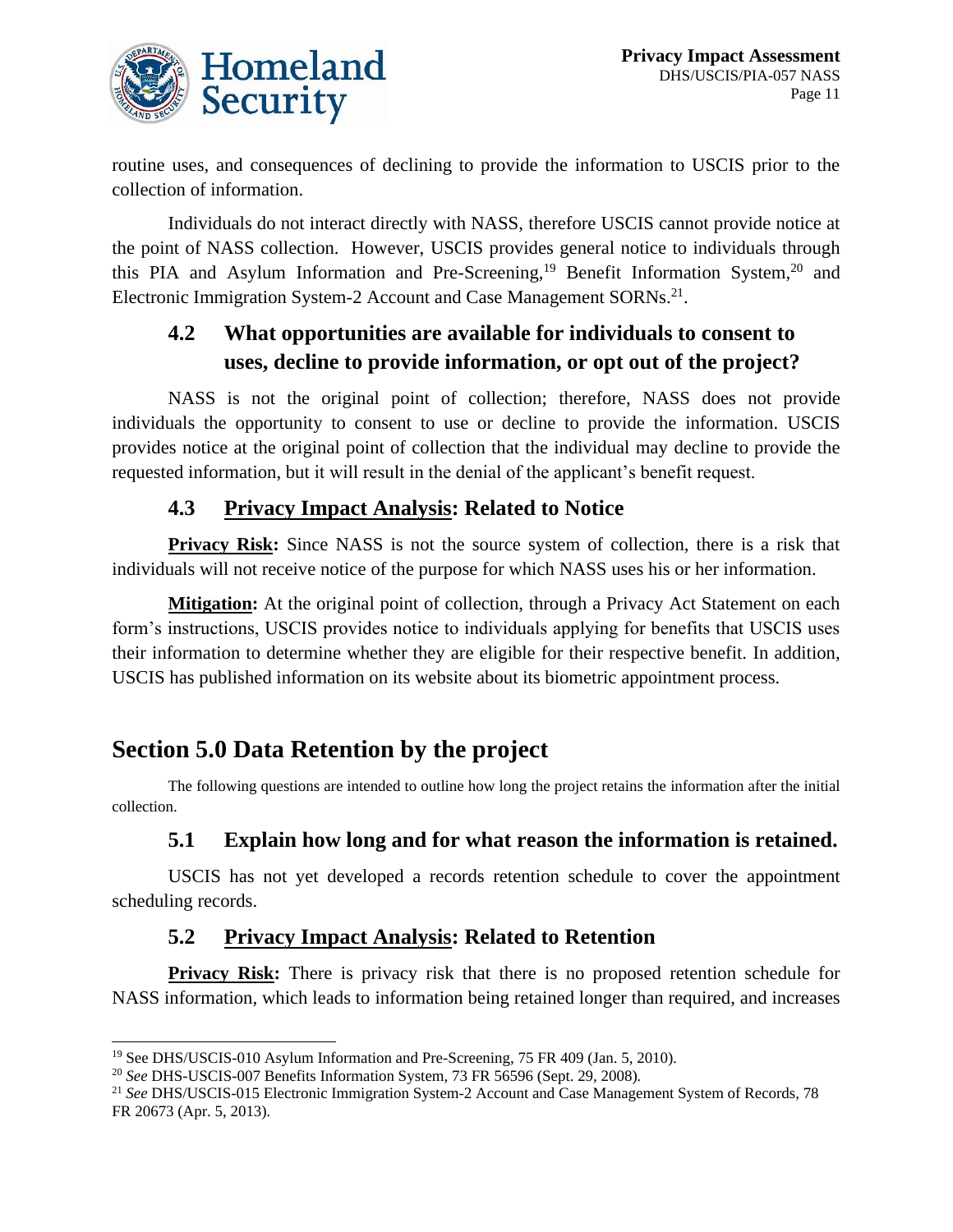

routine uses, and consequences of declining to provide the information to USCIS prior to the collection of information.

Individuals do not interact directly with NASS, therefore USCIS cannot provide notice at the point of NASS collection. However, USCIS provides general notice to individuals through this PIA and Asylum Information and Pre-Screening,<sup>19</sup> Benefit Information System,<sup>20</sup> and Electronic Immigration System-2 Account and Case Management SORNs.<sup>21</sup>.

### **4.2 What opportunities are available for individuals to consent to uses, decline to provide information, or opt out of the project?**

NASS is not the original point of collection; therefore, NASS does not provide individuals the opportunity to consent to use or decline to provide the information. USCIS provides notice at the original point of collection that the individual may decline to provide the requested information, but it will result in the denial of the applicant's benefit request.

### **4.3 Privacy Impact Analysis: Related to Notice**

**Privacy Risk:** Since NASS is not the source system of collection, there is a risk that individuals will not receive notice of the purpose for which NASS uses his or her information.

**Mitigation:** At the original point of collection, through a Privacy Act Statement on each form's instructions, USCIS provides notice to individuals applying for benefits that USCIS uses their information to determine whether they are eligible for their respective benefit. In addition, USCIS has published information on its website about its biometric appointment process.

# **Section 5.0 Data Retention by the project**

The following questions are intended to outline how long the project retains the information after the initial collection.

### **5.1 Explain how long and for what reason the information is retained.**

USCIS has not yet developed a records retention schedule to cover the appointment scheduling records.

### **5.2 Privacy Impact Analysis: Related to Retention**

**Privacy Risk:** There is privacy risk that there is no proposed retention schedule for NASS information, which leads to information being retained longer than required, and increases

<sup>19</sup> See DHS/USCIS-010 Asylum Information and Pre-Screening, 75 FR 409 (Jan. 5, 2010)*.* 

<sup>20</sup> *See* DHS-USCIS-007 Benefits Information System, 73 FR 56596 (Sept. 29, 2008)*.* 

<sup>21</sup> *See* DHS/USCIS-015 Electronic Immigration System-2 Account and Case Management System of Records, 78 FR 20673 (Apr. 5, 2013)*.*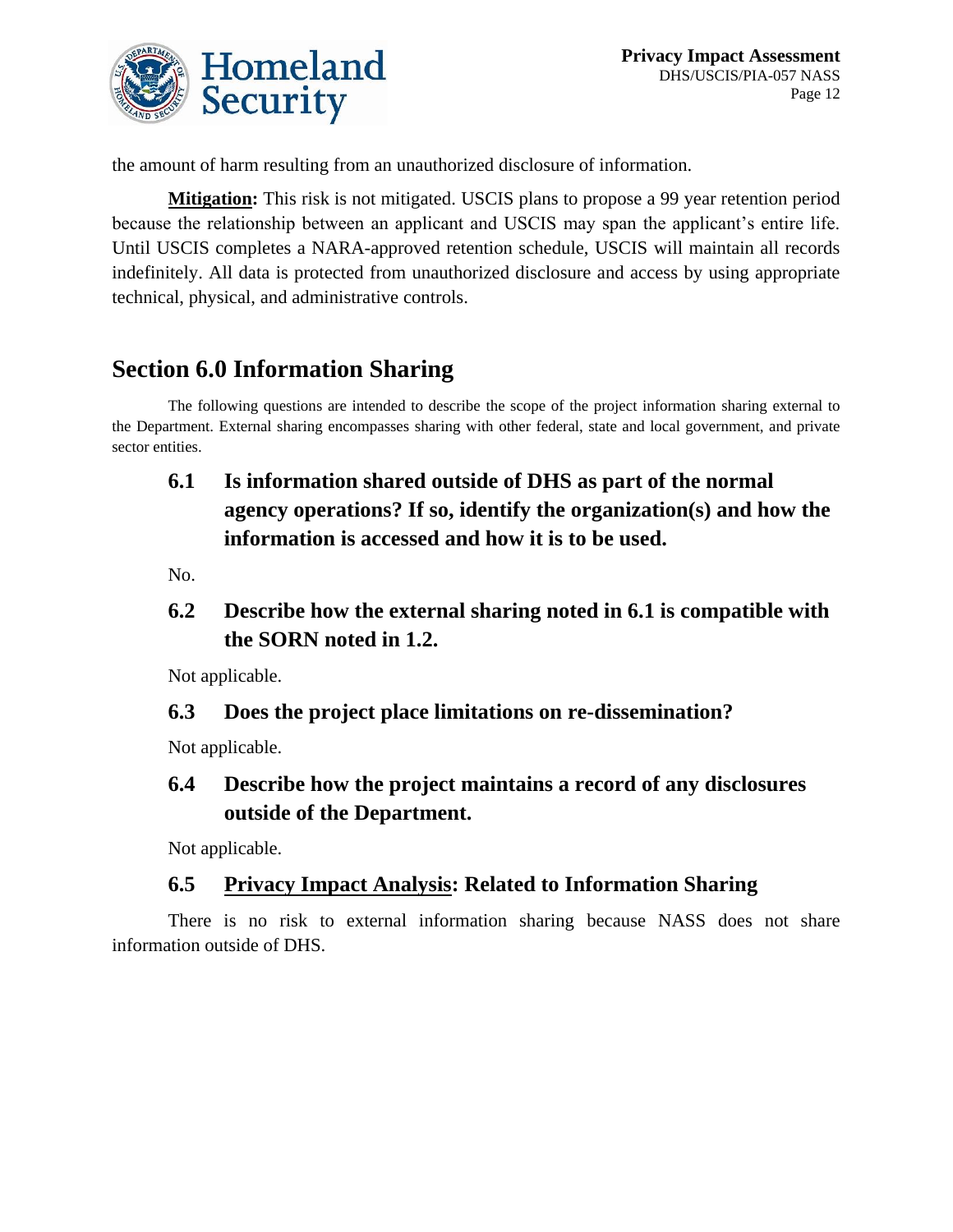

the amount of harm resulting from an unauthorized disclosure of information.

**Mitigation:** This risk is not mitigated. USCIS plans to propose a 99 year retention period because the relationship between an applicant and USCIS may span the applicant's entire life. Until USCIS completes a NARA-approved retention schedule, USCIS will maintain all records indefinitely. All data is protected from unauthorized disclosure and access by using appropriate technical, physical, and administrative controls.

# **Section 6.0 Information Sharing**

The following questions are intended to describe the scope of the project information sharing external to the Department. External sharing encompasses sharing with other federal, state and local government, and private sector entities.

# **6.1 Is information shared outside of DHS as part of the normal agency operations? If so, identify the organization(s) and how the information is accessed and how it is to be used.**

No.

**6.2 Describe how the external sharing noted in 6.1 is compatible with the SORN noted in 1.2.**

Not applicable.

### **6.3 Does the project place limitations on re-dissemination?**

Not applicable.

### **6.4 Describe how the project maintains a record of any disclosures outside of the Department.**

Not applicable.

### **6.5 Privacy Impact Analysis: Related to Information Sharing**

There is no risk to external information sharing because NASS does not share information outside of DHS.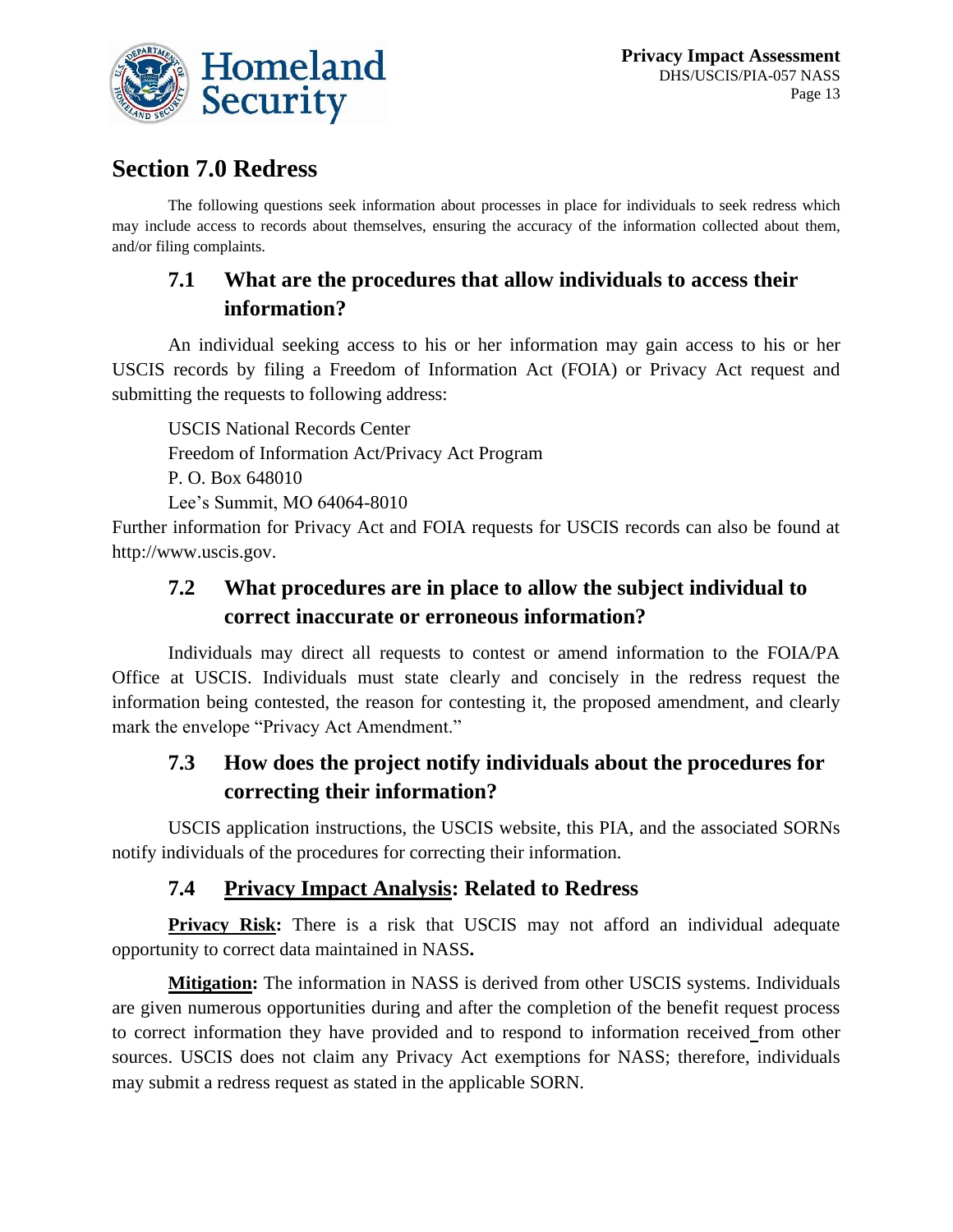

# **Section 7.0 Redress**

The following questions seek information about processes in place for individuals to seek redress which may include access to records about themselves, ensuring the accuracy of the information collected about them, and/or filing complaints.

## **7.1 What are the procedures that allow individuals to access their information?**

An individual seeking access to his or her information may gain access to his or her USCIS records by filing a Freedom of Information Act (FOIA) or Privacy Act request and submitting the requests to following address:

USCIS National Records Center Freedom of Information Act/Privacy Act Program P. O. Box 648010 Lee's Summit, MO 64064-8010

Further information for Privacy Act and FOIA requests for USCIS records can also be found at http://www.uscis.gov.

### **7.2 What procedures are in place to allow the subject individual to correct inaccurate or erroneous information?**

Individuals may direct all requests to contest or amend information to the FOIA/PA Office at USCIS. Individuals must state clearly and concisely in the redress request the information being contested, the reason for contesting it, the proposed amendment, and clearly mark the envelope "Privacy Act Amendment."

### **7.3 How does the project notify individuals about the procedures for correcting their information?**

USCIS application instructions, the USCIS website, this PIA, and the associated SORNs notify individuals of the procedures for correcting their information.

### **7.4 Privacy Impact Analysis: Related to Redress**

**Privacy Risk:** There is a risk that USCIS may not afford an individual adequate opportunity to correct data maintained in NASS**.**

**Mitigation:** The information in NASS is derived from other USCIS systems. Individuals are given numerous opportunities during and after the completion of the benefit request process to correct information they have provided and to respond to information received from other sources. USCIS does not claim any Privacy Act exemptions for NASS; therefore, individuals may submit a redress request as stated in the applicable SORN.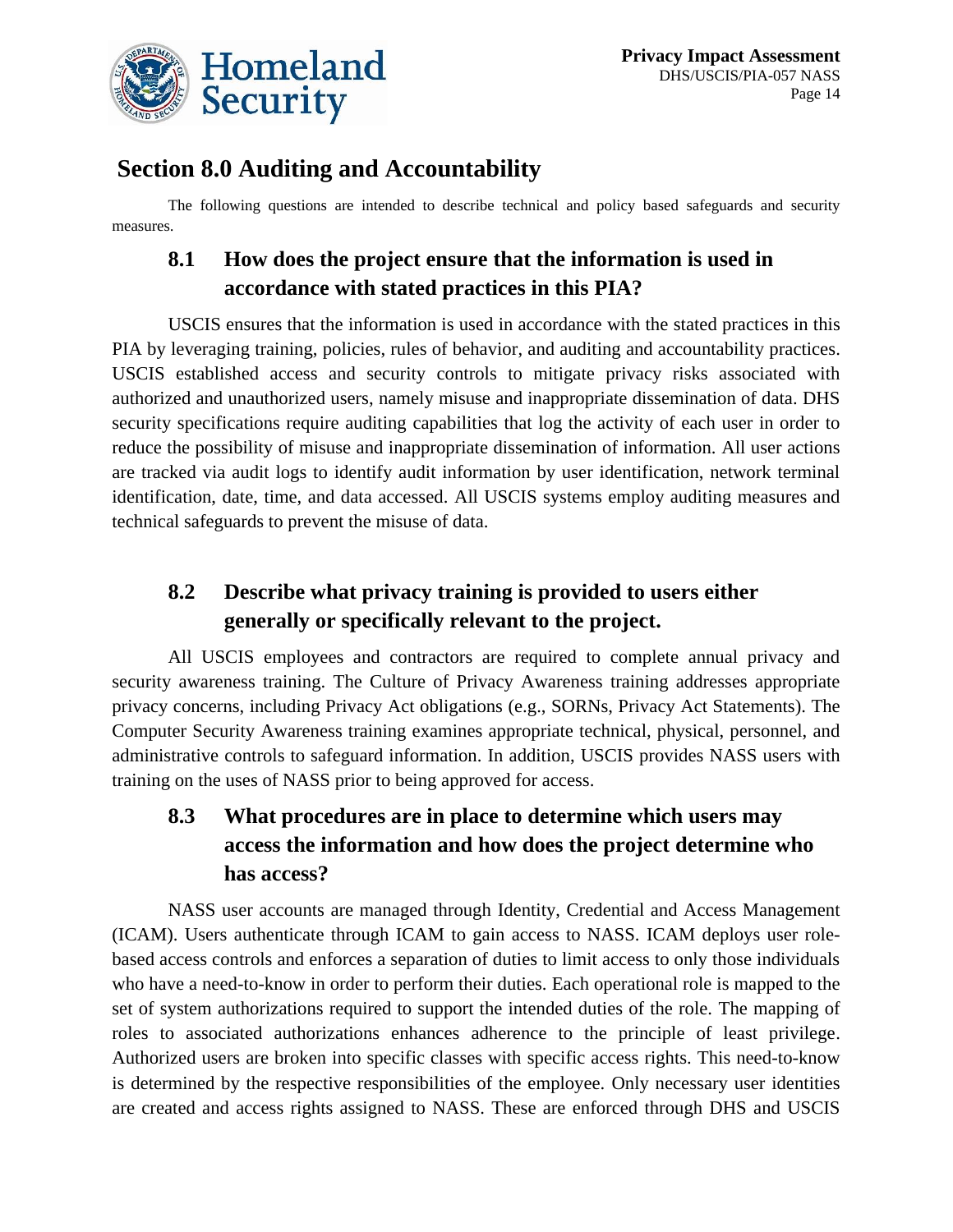

# **Section 8.0 Auditing and Accountability**

The following questions are intended to describe technical and policy based safeguards and security measures.

# **8.1 How does the project ensure that the information is used in accordance with stated practices in this PIA?**

USCIS ensures that the information is used in accordance with the stated practices in this PIA by leveraging training, policies, rules of behavior, and auditing and accountability practices. USCIS established access and security controls to mitigate privacy risks associated with authorized and unauthorized users, namely misuse and inappropriate dissemination of data. DHS security specifications require auditing capabilities that log the activity of each user in order to reduce the possibility of misuse and inappropriate dissemination of information. All user actions are tracked via audit logs to identify audit information by user identification, network terminal identification, date, time, and data accessed. All USCIS systems employ auditing measures and technical safeguards to prevent the misuse of data.

### **8.2 Describe what privacy training is provided to users either generally or specifically relevant to the project.**

All USCIS employees and contractors are required to complete annual privacy and security awareness training. The Culture of Privacy Awareness training addresses appropriate privacy concerns, including Privacy Act obligations (e.g., SORNs, Privacy Act Statements). The Computer Security Awareness training examines appropriate technical, physical, personnel, and administrative controls to safeguard information. In addition, USCIS provides NASS users with training on the uses of NASS prior to being approved for access.

# **8.3 What procedures are in place to determine which users may access the information and how does the project determine who has access?**

NASS user accounts are managed through Identity, Credential and Access Management (ICAM). Users authenticate through ICAM to gain access to NASS. ICAM deploys user rolebased access controls and enforces a separation of duties to limit access to only those individuals who have a need-to-know in order to perform their duties. Each operational role is mapped to the set of system authorizations required to support the intended duties of the role. The mapping of roles to associated authorizations enhances adherence to the principle of least privilege. Authorized users are broken into specific classes with specific access rights. This need-to-know is determined by the respective responsibilities of the employee. Only necessary user identities are created and access rights assigned to NASS. These are enforced through DHS and USCIS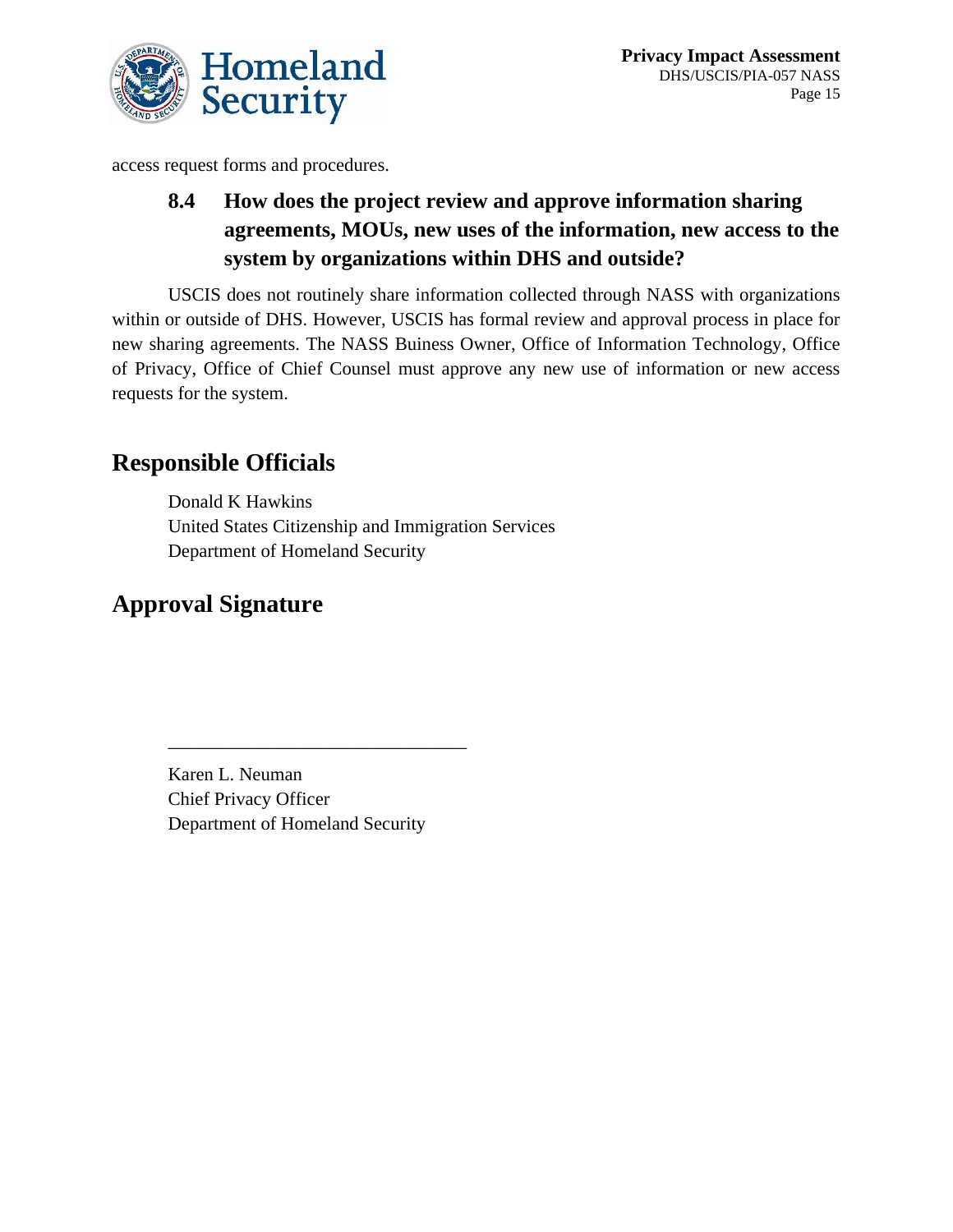

access request forms and procedures.

# **8.4 How does the project review and approve information sharing agreements, MOUs, new uses of the information, new access to the system by organizations within DHS and outside?**

USCIS does not routinely share information collected through NASS with organizations within or outside of DHS. However, USCIS has formal review and approval process in place for new sharing agreements. The NASS Buiness Owner, Office of Information Technology, Office of Privacy, Office of Chief Counsel must approve any new use of information or new access requests for the system.

# **Responsible Officials**

Donald K Hawkins United States Citizenship and Immigration Services Department of Homeland Security

# **Approval Signature**

Karen L. Neuman Chief Privacy Officer Department of Homeland Security

\_\_\_\_\_\_\_\_\_\_\_\_\_\_\_\_\_\_\_\_\_\_\_\_\_\_\_\_\_\_\_\_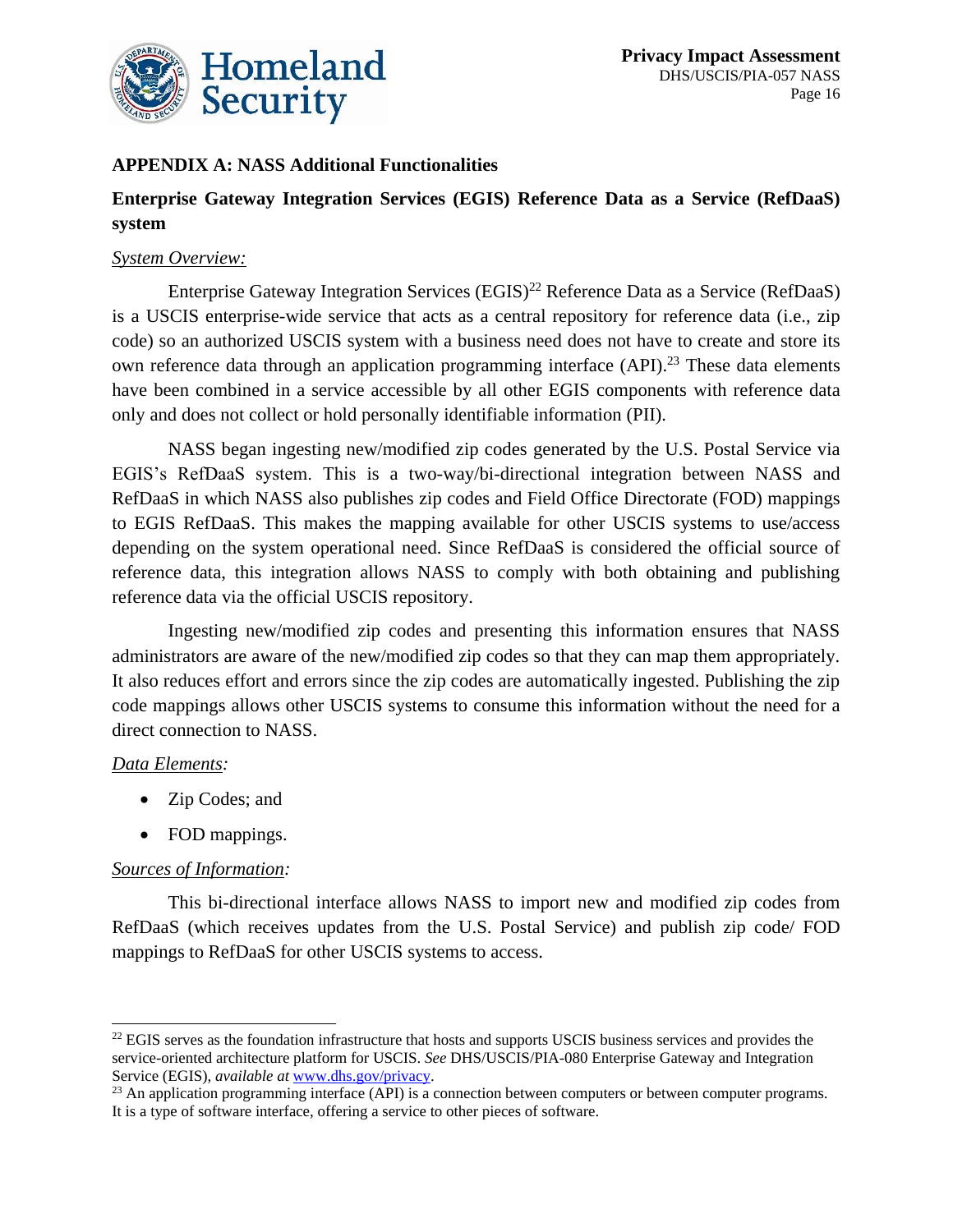

#### **APPENDIX A: NASS Additional Functionalities**

#### **Enterprise Gateway Integration Services (EGIS) Reference Data as a Service (RefDaaS) system**

#### *System Overview:*

Enterprise Gateway Integration Services  $(EGIS)^{22}$  Reference Data as a Service (RefDaaS) is a USCIS enterprise-wide service that acts as a central repository for reference data (i.e., zip code) so an authorized USCIS system with a business need does not have to create and store its own reference data through an application programming interface (API).<sup>23</sup> These data elements have been combined in a service accessible by all other EGIS components with reference data only and does not collect or hold personally identifiable information (PII).

NASS began ingesting new/modified zip codes generated by the U.S. Postal Service via EGIS's RefDaaS system. This is a two-way/bi-directional integration between NASS and RefDaaS in which NASS also publishes zip codes and Field Office Directorate (FOD) mappings to EGIS RefDaaS. This makes the mapping available for other USCIS systems to use/access depending on the system operational need. Since RefDaaS is considered the official source of reference data, this integration allows NASS to comply with both obtaining and publishing reference data via the official USCIS repository.

Ingesting new/modified zip codes and presenting this information ensures that NASS administrators are aware of the new/modified zip codes so that they can map them appropriately. It also reduces effort and errors since the zip codes are automatically ingested. Publishing the zip code mappings allows other USCIS systems to consume this information without the need for a direct connection to NASS.

#### *Data Elements:*

- Zip Codes; and
- FOD mappings.

#### *Sources of Information:*

This bi-directional interface allows NASS to import new and modified zip codes from RefDaaS (which receives updates from the U.S. Postal Service) and publish zip code/ FOD mappings to RefDaaS for other USCIS systems to access.

<sup>&</sup>lt;sup>22</sup> EGIS serves as the foundation infrastructure that hosts and supports USCIS business services and provides the service-oriented architecture platform for USCIS. *See* DHS/USCIS/PIA-080 Enterprise Gateway and Integration Service (EGIS), *available at* [www.dhs.gov/privacy.](file://///dhsnet.ds1.dhs/osem_shares/PRIV/Privacy%20Office/Compliance/PIA/USCIS/DHS-USCIS-PIA-057%20National%20Appointment%20Scheduling%20System/2022%20Update/Appendix%20Update/www.dhs.gov/privacy)

<sup>&</sup>lt;sup>23</sup> An application programming interface (API) is a connection between computers or between computer programs. It is a type of software interface, offering a service to other pieces of software.